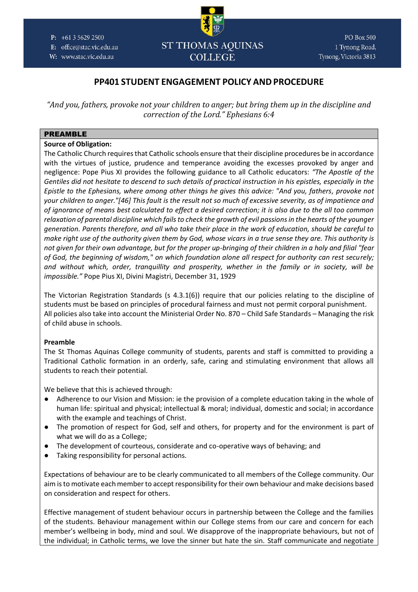P:  $+61356292500$ 

E: office@stac.vic.edu.au

W: www.stac.vic.edu.au



**PO Box 500** 1 Tynong Road, Tynong, Victoria 3813

# **PP401 STUDENT ENGAGEMENT POLICY AND PROCEDURE**

*"And you, fathers, provoke not your children to anger; but bring them up in the discipline and correction of the Lord." Ephesians 6:4*

#### PREAMBLE

#### **Source of Obligation:**

The Catholic Church requires that Catholic schools ensure that their discipline procedures be in accordance with the virtues of justice, prudence and temperance avoiding the excesses provoked by anger and negligence: Pope Pius XI provides the following guidance to all Catholic educators: *"The Apostle of the Gentiles did not hesitate to descend to such details of practical instruction in his epistles, especially in the Epistle to the Ephesians, where among other things he gives this advice: "And you, fathers, provoke not your children to anger."[46] This fault is the result not so much of excessive severity, as of impatience and of ignorance of means best calculated to effect a desired correction; it is also due to the all too common relaxation of parental discipline which fails to check the growth of evil passions in the hearts of the younger generation. Parents therefore, and all who take their place in the work of education, should be careful to make right use of the authority given them by God, whose vicars in a true sense they are. This authority is not given for their own advantage, but for the proper up-bringing of their children in a holy and filial "fear of God, the beginning of wisdom," on which foundation alone all respect for authority can rest securely; and without which, order, tranquillity and prosperity, whether in the family or in society, will be impossible."* Pope Pius XI, Divini Magistri, December 31, 1929

The Victorian Registration Standards (s 4.3.1(6)) require that our policies relating to the discipline of students must be based on principles of procedural fairness and must not permit corporal punishment. All policies also take into account the Ministerial Order No. 870 – Child Safe Standards – Managing the risk of child abuse in schools.

#### **Preamble**

The St Thomas Aquinas College community of students, parents and staff is committed to providing a Traditional Catholic formation in an orderly, safe, caring and stimulating environment that allows all students to reach their potential.

We believe that this is achieved through:

- Adherence to our Vision and Mission: ie the provision of a complete education taking in the whole of human life: spiritual and physical; intellectual & moral; individual, domestic and social; in accordance with the example and teachings of Christ.
- The promotion of respect for God, self and others, for property and for the environment is part of what we will do as a College;
- The development of courteous, considerate and co-operative ways of behaving; and
- Taking responsibility for personal actions.

Expectations of behaviour are to be clearly communicated to all members of the College community. Our aim is to motivate each member to accept responsibility for their own behaviour and make decisions based on consideration and respect for others.

Effective management of student behaviour occurs in partnership between the College and the families of the students. Behaviour management within our College stems from our care and concern for each member's wellbeing in body, mind and soul. We disapprove of the inappropriate behaviours, but not of the individual; in Catholic terms, we love the sinner but hate the sin. Staff communicate and negotiate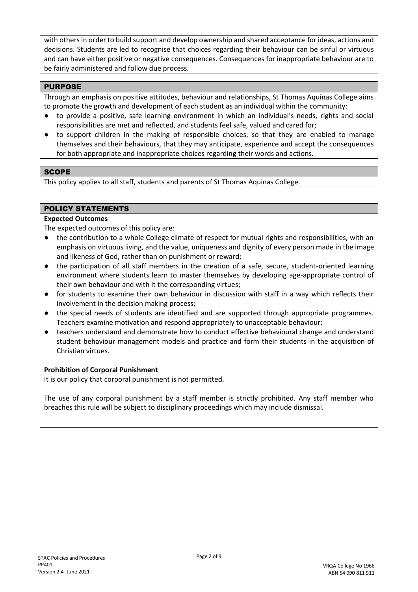with others in order to build support and develop ownership and shared acceptance for ideas, actions and decisions. Students are led to recognise that choices regarding their behaviour can be sinful or virtuous and can have either positive or negative consequences. Consequences for inappropriate behaviour are to be fairly administered and follow due process.

# PURPOSE

Through an emphasis on positive attitudes, behaviour and relationships, St Thomas Aquinas College aims to promote the growth and development of each student as an individual within the community:

- to provide a positive, safe learning environment in which an individual's needs, rights and social responsibilities are met and reflected, and students feel safe, valued and cared for;
- to support children in the making of responsible choices, so that they are enabled to manage themselves and their behaviours, that they may anticipate, experience and accept the consequences for both appropriate and inappropriate choices regarding their words and actions.

## **SCOPE**

This policy applies to all staff, students and parents of St Thomas Aquinas College.

## POLICY STATEMENTS

## **Expected Outcomes**

The expected outcomes of this policy are:

- the contribution to a whole College climate of respect for mutual rights and responsibilities, with an emphasis on virtuous living, and the value, uniqueness and dignity of every person made in the image and likeness of God, rather than on punishment or reward;
- the participation of all staff members in the creation of a safe, secure, student-oriented learning environment where students learn to master themselves by developing age-appropriate control of their own behaviour and with it the corresponding virtues;
- for students to examine their own behaviour in discussion with staff in a way which reflects their involvement in the decision making process;
- the special needs of students are identified and are supported through appropriate programmes. Teachers examine motivation and respond appropriately to unacceptable behaviour;
- teachers understand and demonstrate how to conduct effective behavioural change and understand student behaviour management models and practice and form their students in the acquisition of Christian virtues.

#### **Prohibition of Corporal Punishment**

It is our policy that corporal punishment is not permitted.

The use of any corporal punishment by a staff member is strictly prohibited. Any staff member who breaches this rule will be subject to disciplinary proceedings which may include dismissal.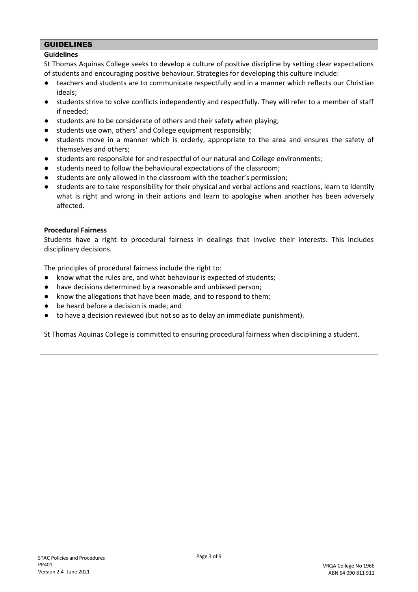## GUIDELINES

#### **Guidelines**

St Thomas Aquinas College seeks to develop a culture of positive discipline by setting clear expectations of students and encouraging positive behaviour. Strategies for developing this culture include:

- teachers and students are to communicate respectfully and in a manner which reflects our Christian ideals;
- students strive to solve conflicts independently and respectfully. They will refer to a member of staff if needed;
- students are to be considerate of others and their safety when playing;
- students use own, others' and College equipment responsibly;
- students move in a manner which is orderly, appropriate to the area and ensures the safety of themselves and others;
- students are responsible for and respectful of our natural and College environments;
- students need to follow the behavioural expectations of the classroom;
- students are only allowed in the classroom with the teacher's permission;
- students are to take responsibility for their physical and verbal actions and reactions, learn to identify what is right and wrong in their actions and learn to apologise when another has been adversely affected.

## **Procedural Fairness**

Students have a right to procedural fairness in dealings that involve their interests. This includes disciplinary decisions.

The principles of procedural fairness include the right to:

- know what the rules are, and what behaviour is expected of students;
- have decisions determined by a reasonable and unbiased person;
- know the allegations that have been made, and to respond to them;
- be heard before a decision is made; and
- to have a decision reviewed (but not so as to delay an immediate punishment).

St Thomas Aquinas College is committed to ensuring procedural fairness when disciplining a student.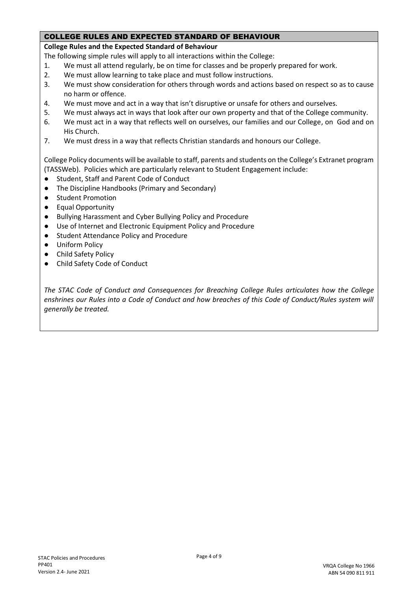# COLLEGE RULES AND EXPECTED STANDARD OF BEHAVIOUR

**College Rules and the Expected Standard of Behaviour** 

The following simple rules will apply to all interactions within the College:

- 1. We must all attend regularly, be on time for classes and be properly prepared for work.
- 2. We must allow learning to take place and must follow instructions.
- 3. We must show consideration for others through words and actions based on respect so as to cause no harm or offence.
- 4. We must move and act in a way that isn't disruptive or unsafe for others and ourselves.
- 5. We must always act in ways that look after our own property and that of the College community.
- 6. We must act in a way that reflects well on ourselves, our families and our College, on God and on His Church.
- 7. We must dress in a way that reflects Christian standards and honours our College.

College Policy documents will be available to staff, parents and students on the College's Extranet program (TASSWeb). Policies which are particularly relevant to Student Engagement include:

- Student, Staff and Parent Code of Conduct
- The Discipline Handbooks (Primary and Secondary)
- Student Promotion
- Equal Opportunity
- Bullying Harassment and Cyber Bullying Policy and Procedure
- Use of Internet and Electronic Equipment Policy and Procedure
- Student Attendance Policy and Procedure
- Uniform Policy
- Child Safety Policy
- Child Safety Code of Conduct

*The STAC Code of Conduct and Consequences for Breaching College Rules articulates how the College enshrines our Rules into a Code of Conduct and how breaches of this Code of Conduct/Rules system will generally be treated.*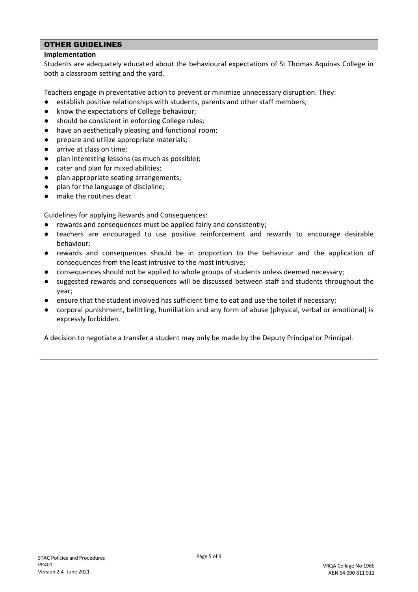# OTHER GUIDELINES

#### **Implementation**

Students are adequately educated about the behavioural expectations of St Thomas Aquinas College in both a classroom setting and the yard.

Teachers engage in preventative action to prevent or minimize unnecessary disruption. They:

- establish positive relationships with students, parents and other staff members;
- know the expectations of College behaviour;
- should be consistent in enforcing College rules;
- have an aesthetically pleasing and functional room;
- prepare and utilize appropriate materials;
- arrive at class on time;
- plan interesting lessons (as much as possible);
- cater and plan for mixed abilities;
- plan appropriate seating arrangements;
- plan for the language of discipline;
- make the routines clear.

Guidelines for applying Rewards and Consequences:

- rewards and consequences must be applied fairly and consistently;
- teachers are encouraged to use positive reinforcement and rewards to encourage desirable behaviour;
- rewards and consequences should be in proportion to the behaviour and the application of consequences from the least intrusive to the most intrusive;
- consequences should not be applied to whole groups of students unless deemed necessary;
- suggested rewards and consequences will be discussed between staff and students throughout the year;
- ensure that the student involved has sufficient time to eat and use the toilet if necessary;
- corporal punishment, belittling, humiliation and any form of abuse (physical, verbal or emotional) is expressly forbidden.

A decision to negotiate a transfer a student may only be made by the Deputy Principal or Principal.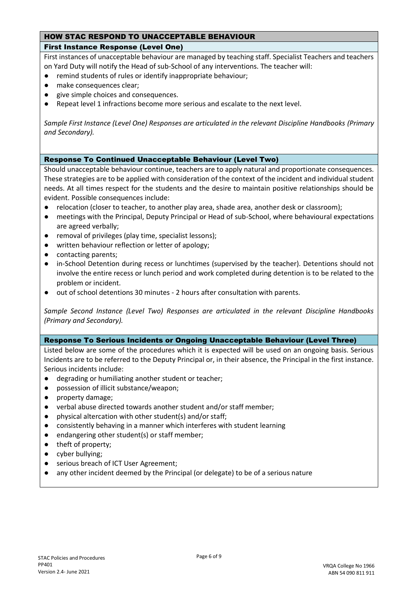# HOW STAC RESPOND TO UNACCEPTABLE BEHAVIOUR

# First Instance Response (Level One)

First instances of unacceptable behaviour are managed by teaching staff. Specialist Teachers and teachers on Yard Duty will notify the Head of sub-School of any interventions. The teacher will:

- remind students of rules or identify inappropriate behaviour;
- make consequences clear;
- give simple choices and consequences.
- Repeat level 1 infractions become more serious and escalate to the next level.

*Sample First Instance (Level One) Responses are articulated in the relevant Discipline Handbooks (Primary and Secondary).*

## Response To Continued Unacceptable Behaviour (Level Two)

Should unacceptable behaviour continue, teachers are to apply natural and proportionate consequences. These strategies are to be applied with consideration of the context of the incident and individual student needs. At all times respect for the students and the desire to maintain positive relationships should be evident. Possible consequences include:

- relocation (closer to teacher, to another play area, shade area, another desk or classroom);
- meetings with the Principal, Deputy Principal or Head of sub-School, where behavioural expectations are agreed verbally;
- removal of privileges (play time, specialist lessons);
- written behaviour reflection or letter of apology;
- contacting parents;
- in-School Detention during recess or lunchtimes (supervised by the teacher). Detentions should not involve the entire recess or lunch period and work completed during detention is to be related to the problem or incident.
- out of school detentions 30 minutes 2 hours after consultation with parents.

*Sample Second Instance (Level Two) Responses are articulated in the relevant Discipline Handbooks (Primary and Secondary).*

#### Response To Serious Incidents or Ongoing Unacceptable Behaviour (Level Three)

Listed below are some of the procedures which it is expected will be used on an ongoing basis. Serious Incidents are to be referred to the Deputy Principal or, in their absence, the Principal in the first instance. Serious incidents include:

- degrading or humiliating another student or teacher;
- possession of illicit substance/weapon;
- property damage;
- verbal abuse directed towards another student and/or staff member;
- physical altercation with other student(s) and/or staff:
- consistently behaving in a manner which interferes with student learning
- endangering other student(s) or staff member;
- theft of property;
- cyber bullying;
- serious breach of ICT User Agreement;
- any other incident deemed by the Principal (or delegate) to be of a serious nature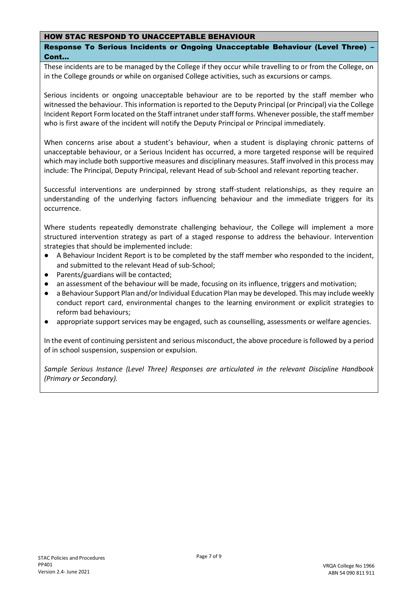# HOW STAC RESPOND TO UNACCEPTABLE BEHAVIOUR

Response To Serious Incidents or Ongoing Unacceptable Behaviour (Level Three) – Cont…

These incidents are to be managed by the College if they occur while travelling to or from the College, on in the College grounds or while on organised College activities, such as excursions or camps.

Serious incidents or ongoing unacceptable behaviour are to be reported by the staff member who witnessed the behaviour. This information is reported to the Deputy Principal (or Principal) via the College Incident Report Form located on the Staff intranet under staff forms. Whenever possible, the staff member who is first aware of the incident will notify the Deputy Principal or Principal immediately.

When concerns arise about a student's behaviour, when a student is displaying chronic patterns of unacceptable behaviour, or a Serious Incident has occurred, a more targeted response will be required which may include both supportive measures and disciplinary measures. Staff involved in this process may include: The Principal, Deputy Principal, relevant Head of sub-School and relevant reporting teacher.

Successful interventions are underpinned by strong staff-student relationships, as they require an understanding of the underlying factors influencing behaviour and the immediate triggers for its occurrence.

Where students repeatedly demonstrate challenging behaviour, the College will implement a more structured intervention strategy as part of a staged response to address the behaviour. Intervention strategies that should be implemented include:

- A Behaviour Incident Report is to be completed by the staff member who responded to the incident, and submitted to the relevant Head of sub-School;
- Parents/guardians will be contacted;
- an assessment of the behaviour will be made, focusing on its influence, triggers and motivation;
- a Behaviour Support Plan and/or Individual Education Plan may be developed. This may include weekly conduct report card, environmental changes to the learning environment or explicit strategies to reform bad behaviours;
- appropriate support services may be engaged, such as counselling, assessments or welfare agencies.

In the event of continuing persistent and serious misconduct, the above procedure is followed by a period of in school suspension, suspension or expulsion.

*Sample Serious Instance (Level Three) Responses are articulated in the relevant Discipline Handbook (Primary or Secondary).*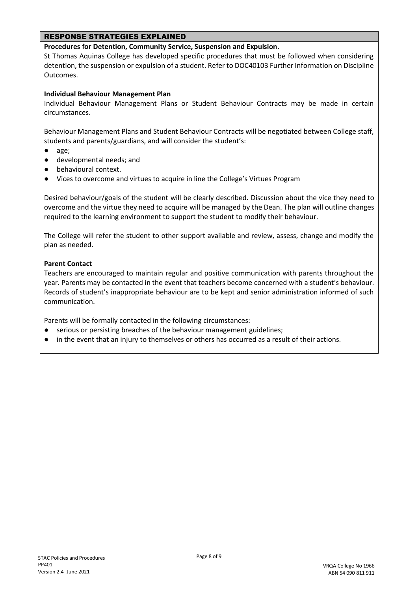# RESPONSE STRATEGIES EXPLAINED

#### **Procedures for Detention, Community Service, Suspension and Expulsion.**

St Thomas Aquinas College has developed specific procedures that must be followed when considering detention, the suspension or expulsion of a student. Refer to DOC40103 Further Information on Discipline Outcomes.

## **Individual Behaviour Management Plan**

Individual Behaviour Management Plans or Student Behaviour Contracts may be made in certain circumstances.

Behaviour Management Plans and Student Behaviour Contracts will be negotiated between College staff, students and parents/guardians, and will consider the student's:

- age;
- developmental needs; and
- behavioural context.
- Vices to overcome and virtues to acquire in line the College's Virtues Program

Desired behaviour/goals of the student will be clearly described. Discussion about the vice they need to overcome and the virtue they need to acquire will be managed by the Dean. The plan will outline changes required to the learning environment to support the student to modify their behaviour.

The College will refer the student to other support available and review, assess, change and modify the plan as needed.

## **Parent Contact**

Teachers are encouraged to maintain regular and positive communication with parents throughout the year. Parents may be contacted in the event that teachers become concerned with a student's behaviour. Records of student's inappropriate behaviour are to be kept and senior administration informed of such communication.

Parents will be formally contacted in the following circumstances:

- serious or persisting breaches of the behaviour management guidelines;
- in the event that an injury to themselves or others has occurred as a result of their actions.